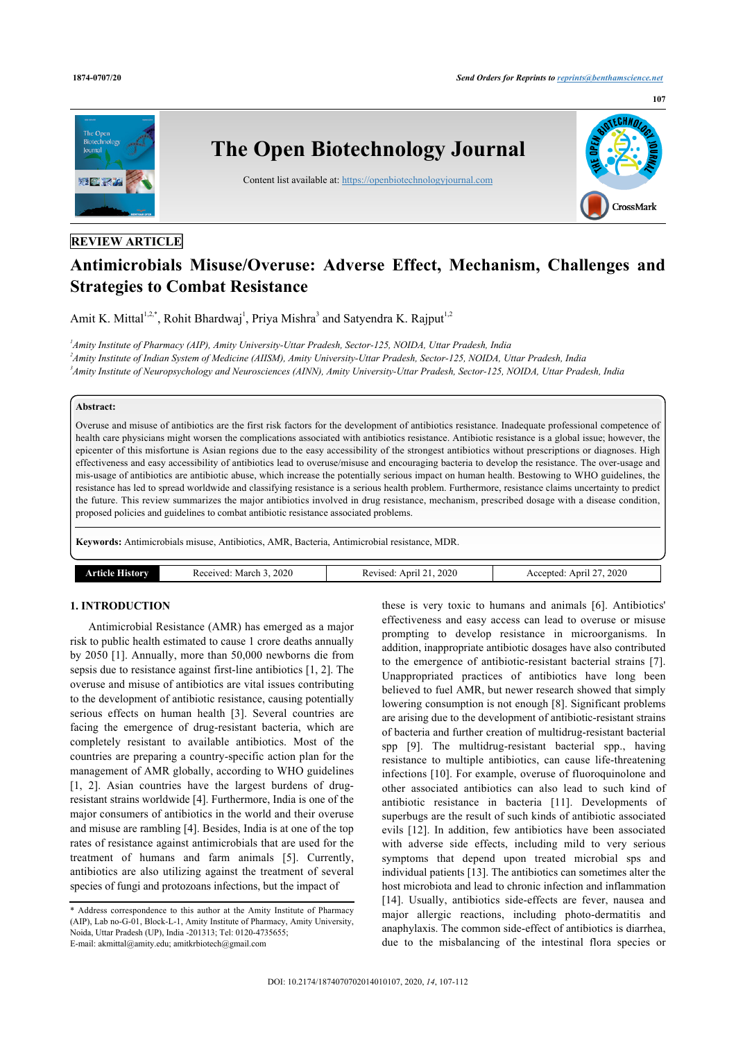

# **REVIEW ARTICLE**

# **Antimicrobials Misuse/Overuse: Adverse Effect, Mechanism, Challenges and Strategies to Combat Resistance**

Amit K. Mittal<sup>[1](#page-0-0),[2](#page-0-1),[\\*](#page-0-2)</sup>, Rohit Bhardwaj<sup>1</sup>, Priya Mishra<sup>[3](#page-0-3)</sup> and Satyendra K. Rajput<sup>1[,2](#page-0-1)</sup>

<span id="page-0-3"></span><span id="page-0-1"></span><span id="page-0-0"></span>*1 Amity Institute of Pharmacy (AIP), Amity University-Uttar Pradesh, Sector-125, NOIDA, Uttar Pradesh, India 2 Amity Institute of Indian System of Medicine (AIISM), Amity University-Uttar Pradesh, Sector-125, NOIDA, Uttar Pradesh, India 3 Amity Institute of Neuropsychology and Neurosciences (AINN), Amity University-Uttar Pradesh, Sector-125, NOIDA, Uttar Pradesh, India*

#### **Abstract:**

Overuse and misuse of antibiotics are the first risk factors for the development of antibiotics resistance. Inadequate professional competence of health care physicians might worsen the complications associated with antibiotics resistance. Antibiotic resistance is a global issue; however, the epicenter of this misfortune is Asian regions due to the easy accessibility of the strongest antibiotics without prescriptions or diagnoses. High effectiveness and easy accessibility of antibiotics lead to overuse/misuse and encouraging bacteria to develop the resistance. The over-usage and mis-usage of antibiotics are antibiotic abuse, which increase the potentially serious impact on human health. Bestowing to WHO guidelines, the resistance has led to spread worldwide and classifying resistance is a serious health problem. Furthermore, resistance claims uncertainty to predict the future. This review summarizes the major antibiotics involved in drug resistance, mechanism, prescribed dosage with a disease condition, proposed policies and guidelines to combat antibiotic resistance associated problems.

**Keywords:** Antimicrobials misuse, Antibiotics, AMR, Bacteria, Antimicrobial resistance, MDR.

| .2020<br>2020<br>Anri<br>nrı.<br>March<br>mr<br>/178.<br>15CO | 2020<br>$\overline{\phantom{a}}$ |
|---------------------------------------------------------------|----------------------------------|
|---------------------------------------------------------------|----------------------------------|

# **1. INTRODUCTION**

Antimicrobial Resistance (AMR) has emerged as a major risk to public health estimated to cause 1 crore deaths annually by 2050 [\[1](#page-4-0)]. Annually, more than 50,000 newborns die from sepsis due to resistance against first-line antibiotics [[1](#page-4-0), [2](#page-4-1)]. The overuse and misuse of antibiotics are vital issues contributing to the development of antibiotic resistance, causing potentially serious effects on human health[[3\]](#page-4-2). Several countries are facing the emergence of drug-resistant bacteria, which are completely resistant to available antibiotics. Most of the countries are preparing a country-specific action plan for the management of AMR globally, according to WHO guidelines [[1](#page-4-0), [2](#page-4-1)]. Asian countries have the largest burdens of drugresistant strains worldwide [[4\]](#page-4-3). Furthermore, India is one of the major consumers of antibiotics in the world and their overuse and misuse are rambling [[4](#page-4-3)]. Besides, India is at one of the top rates of resistance against antimicrobials that are used for the treatment of humans and farm animals[[5](#page-4-4)]. Currently, antibiotics are also utilizing against the treatment of several species of fungi and protozoans infections, but the impact of

these is very toxic to humans and animals[[6](#page-4-5)]. Antibiotics' effectiveness and easy access can lead to overuse or misuse prompting to develop resistance in microorganisms. In addition, inappropriate antibiotic dosages have also contributed to the emergence of antibiotic-resistant bacterial strains[[7](#page-4-6)]. Unappropriated practices of antibiotics have long been believed to fuel AMR, but newer research showed that simply lowering consumption is not enough [\[8\]](#page-4-7). Significant problems are arising due to the development of antibiotic-resistant strains of bacteria and further creation of multidrug-resistant bacterial spp [\[9\]](#page-4-8). The multidrug-resistant bacterial spp., having resistance to multiple antibiotics, can cause life-threatening infections [\[10\]](#page-4-9). For example, overuse of fluoroquinolone and other associated antibiotics can also lead to such kind of antibiotic resistance in bacteria[[11\]](#page-4-10). Developments of superbugs are the result of such kinds of antibiotic associated evils [\[12](#page-4-11)]. In addition, few antibiotics have been associated with adverse side effects, including mild to very serious symptoms that depend upon treated microbial sps and individual patients [\[13](#page-4-12)]. The antibiotics can sometimes alter the host microbiota and lead to chronic infection and inflammation [[14](#page-4-13)]. Usually, antibiotics side-effects are fever, nausea and major allergic reactions, including photo-dermatitis and anaphylaxis. The common side-effect of antibiotics is diarrhea, due to the misbalancing of the intestinal flora species or

#### **107**

<span id="page-0-2"></span><sup>\*</sup> Address correspondence to this author at the Amity Institute of Pharmacy (AIP), Lab no-G-01, Block-L-1, Amity Institute of Pharmacy, Amity University, Noida, Uttar Pradesh (UP), India -201313; Tel: 0120-4735655; E-mail: [akmittal@amity.edu;](mailto:akmittal@amity.edu) [amitkrbiotech@gmail.com](mailto:amitkrbiotech@gmail.com)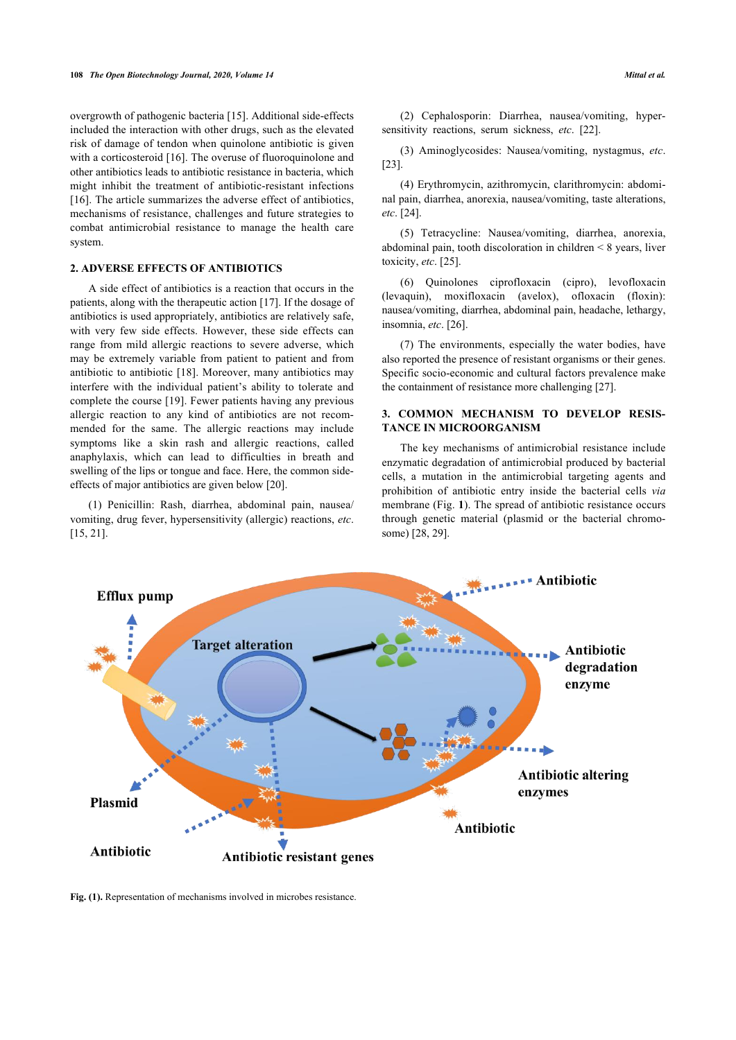overgrowth of pathogenic bacteria [[15\]](#page-4-14). Additional side-effects included the interaction with other drugs, such as the elevated risk of damage of tendon when quinolone antibiotic is given with a corticosteroid [[16\]](#page-4-15). The overuse of fluoroquinolone and other antibiotics leads to antibiotic resistance in bacteria, which might inhibit the treatment of antibiotic-resistant infections [[16\]](#page-4-15). The article summarizes the adverse effect of antibiotics, mechanisms of resistance, challenges and future strategies to combat antimicrobial resistance to manage the health care system.

### **2. ADVERSE EFFECTS OF ANTIBIOTICS**

A side effect of antibiotics is a reaction that occurs in the patients, along with the therapeutic action [\[17](#page-4-16)]. If the dosage of antibiotics is used appropriately, antibiotics are relatively safe, with very few side effects. However, these side effects can range from mild allergic reactions to severe adverse, which may be extremely variable from patient to patient and from antibiotic to antibiotic [\[18](#page-4-17)]. Moreover, many antibiotics may interfere with the individual patient's ability to tolerate and complete the course [[19\]](#page-4-18). Fewer patients having any previous allergic reaction to any kind of antibiotics are not recommended for the same. The allergic reactions may include symptoms like a skin rash and allergic reactions, called anaphylaxis, which can lead to difficulties in breath and swelling of the lips or tongue and face. Here, the common sideeffects of major antibiotics are given below [\[20](#page-4-19)].

(1) Penicillin: Rash, diarrhea, abdominal pain, nausea/ vomiting, drug fever, hypersensitivity (allergic) reactions, *etc*. [[15,](#page-4-14) [21](#page-4-20)].

(2) Cephalosporin: Diarrhea, nausea/vomiting, hypersensitivity reactions, serum sickness, *etc*.[[22\]](#page-4-21).

(3) Aminoglycosides: Nausea/vomiting, nystagmus, *etc*. [[23\]](#page-4-22).

(4) Erythromycin, azithromycin, clarithromycin: abdominal pain, diarrhea, anorexia, nausea/vomiting, taste alterations, *etc*. [[24\]](#page-4-23).

(5) Tetracycline: Nausea/vomiting, diarrhea, anorexia, abdominal pain, tooth discoloration in children < 8 years, liver toxicity, *etc*. [[25\]](#page-4-24).

(6) Quinolones ciprofloxacin (cipro), levofloxacin (levaquin), moxifloxacin (avelox), ofloxacin (floxin): nausea/vomiting, diarrhea, abdominal pain, headache, lethargy, insomnia, *etc*. [\[26](#page-4-25)].

(7) The environments, especially the water bodies, have also reported the presence of resistant organisms or their genes. Specific socio-economic and cultural factors prevalence make the containment of resistance more challenging [\[27](#page-4-26)].

# **3. COMMON MECHANISM TO DEVELOP RESIS-TANCE IN MICROORGANISM**

The key mechanisms of antimicrobial resistance include enzymatic degradation of antimicrobial produced by bacterial cells, a mutation in the antimicrobial targeting agents and prohibition of antibiotic entry inside the bacterial cells *via* membrane (Fig. **[1](#page-1-0)**). The spread of antibiotic resistance occurs through genetic material (plasmid or the bacterial chromosome) [\[28](#page-4-27), [29\]](#page-4-28).

<span id="page-1-0"></span>

**Fig. (1).** Representation of mechanisms involved in microbes resistance.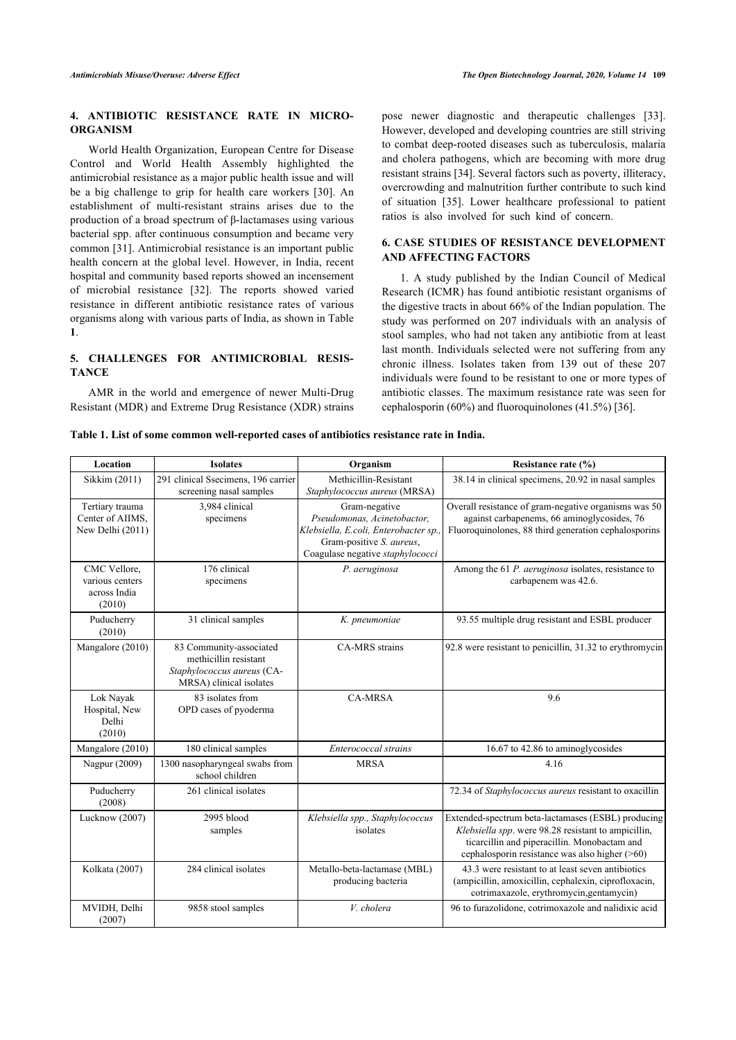# **4. ANTIBIOTIC RESISTANCE RATE IN MICRO-ORGANISM**

World Health Organization, European Centre for Disease Control and World Health Assembly highlighted the antimicrobial resistance as a major public health issue and will be a big challenge to grip for health care workers[[30](#page-4-29)]. An establishment of multi-resistant strains arises due to the production of a broad spectrum of β-lactamases using various bacterial spp. after continuous consumption and became very common [\[31\]](#page-4-30). Antimicrobial resistance is an important public health concern at the global level. However, in India, recent hospital and community based reports showed an incensement of microbial resistance[[32](#page-4-31)]. The reports showed varied resistance in different antibiotic resistance rates of various organisms along with various parts of India, as shown in Table **[1](#page-2-0)**.

# **5. CHALLENGES FOR ANTIMICROBIAL RESIS-TANCE**

AMR in the world and emergence of newer Multi-Drug Resistant (MDR) and Extreme Drug Resistance (XDR) strains pose newer diagnostic and therapeutic challenges[[33](#page-4-32)]. However, developed and developing countries are still striving to combat deep-rooted diseases such as tuberculosis, malaria and cholera pathogens, which are becoming with more drug resistant strains [\[34](#page-4-33)]. Several factors such as poverty, illiteracy, overcrowding and malnutrition further contribute to such kind of situation[[35](#page-4-34)]. Lower healthcare professional to patient ratios is also involved for such kind of concern.

### **6. CASE STUDIES OF RESISTANCE DEVELOPMENT AND AFFECTING FACTORS**

1. A study published by the Indian Council of Medical Research (ICMR) has found antibiotic resistant organisms of the digestive tracts in about 66% of the Indian population. The study was performed on 207 individuals with an analysis of stool samples, who had not taken any antibiotic from at least last month. Individuals selected were not suffering from any chronic illness. Isolates taken from 139 out of these 207 individuals were found to be resistant to one or more types of antibiotic classes. The maximum resistance rate was seen for cephalosporin (60%) and fluoroquinolones (41.5%) [[36\]](#page-4-35).

#### <span id="page-2-0"></span>**Table 1. List of some common well-reported cases of antibiotics resistance rate in India.**

| Location                                                  | <b>Isolates</b>                                                                                           | Organism                                                                                                                                             | Resistance rate (%)                                                                                                                                                                                         |
|-----------------------------------------------------------|-----------------------------------------------------------------------------------------------------------|------------------------------------------------------------------------------------------------------------------------------------------------------|-------------------------------------------------------------------------------------------------------------------------------------------------------------------------------------------------------------|
| Sikkim (2011)                                             | 291 clinical Ssecimens, 196 carrier<br>screening nasal samples                                            | Methicillin-Resistant<br>Staphylococcus aureus (MRSA)                                                                                                | 38.14 in clinical specimens, 20.92 in nasal samples                                                                                                                                                         |
| Tertiary trauma<br>Center of AIIMS,<br>New Delhi (2011)   | 3,984 clinical<br>specimens                                                                               | Gram-negative<br>Pseudomonas, Acinetobactor,<br>Klebsiella, E.coli, Enterobacter sp.<br>Gram-positive S. aureus,<br>Coagulase negative staphylococci | Overall resistance of gram-negative organisms was 50<br>against carbapenems, 66 aminoglycosides, 76<br>Fluoroquinolones, 88 third generation cephalosporins                                                 |
| CMC Vellore,<br>various centers<br>across India<br>(2010) | 176 clinical<br>specimens                                                                                 | P. aeruginosa                                                                                                                                        | Among the 61 P. aeruginosa isolates, resistance to<br>carbapenem was 42.6.                                                                                                                                  |
| Puducherry<br>(2010)                                      | 31 clinical samples                                                                                       | K. pneumoniae                                                                                                                                        | 93.55 multiple drug resistant and ESBL producer                                                                                                                                                             |
| Mangalore (2010)                                          | 83 Community-associated<br>methicillin resistant<br>Staphylococcus aureus (CA-<br>MRSA) clinical isolates | CA-MRS strains                                                                                                                                       | 92.8 were resistant to penicillin, 31.32 to erythromycin                                                                                                                                                    |
| Lok Nayak<br>Hospital, New<br>Delhi<br>(2010)             | 83 isolates from<br>OPD cases of pyoderma                                                                 | <b>CA-MRSA</b>                                                                                                                                       | 9.6                                                                                                                                                                                                         |
| Mangalore (2010)                                          | 180 clinical samples                                                                                      | Enterococcal strains                                                                                                                                 | 16.67 to 42.86 to aminoglycosides                                                                                                                                                                           |
| Nagpur (2009)                                             | 1300 nasopharyngeal swabs from<br>school children                                                         | <b>MRSA</b>                                                                                                                                          | 4.16                                                                                                                                                                                                        |
| Puducherry<br>(2008)                                      | 261 clinical isolates                                                                                     |                                                                                                                                                      | 72.34 of Staphylococcus aureus resistant to oxacillin                                                                                                                                                       |
| Lucknow (2007)                                            | 2995 blood<br>samples                                                                                     | Klebsiella spp., Staphylococcus<br>isolates                                                                                                          | Extended-spectrum beta-lactamases (ESBL) producing<br>Klebsiella spp. were 98.28 resistant to ampicillin,<br>ticarcillin and piperacillin. Monobactam and<br>cephalosporin resistance was also higher (>60) |
| Kolkata (2007)                                            | 284 clinical isolates                                                                                     | Metallo-beta-lactamase (MBL)<br>producing bacteria                                                                                                   | 43.3 were resistant to at least seven antibiotics<br>(ampicillin, amoxicillin, cephalexin, ciprofloxacin,<br>cotrimaxazole, erythromycin, gentamycin)                                                       |
| MVIDH, Delhi<br>(2007)                                    | 9858 stool samples                                                                                        | V. cholera                                                                                                                                           | 96 to furazolidone, cotrimoxazole and nalidixic acid                                                                                                                                                        |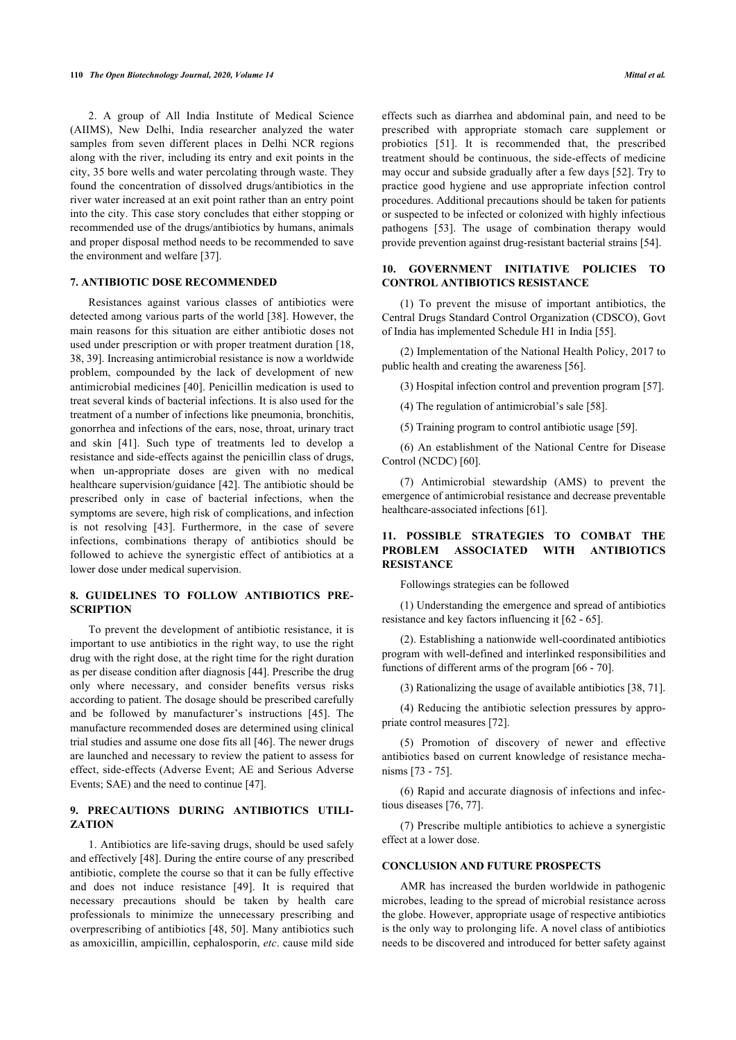2. A group of All India Institute of Medical Science (AIIMS), New Delhi, India researcher analyzed the water samples from seven different places in Delhi NCR regions along with the river, including its entry and exit points in the city, 35 bore wells and water percolating through waste. They found the concentration of dissolved drugs/antibiotics in the river water increased at an exit point rather than an entry point into the city. This case story concludes that either stopping or recommended use of the drugs/antibiotics by humans, animals and proper disposal method needs to be recommended to save the environment and welfare [\[37](#page-4-36)].

#### **7. ANTIBIOTIC DOSE RECOMMENDED**

Resistances against various classes of antibiotics were detected among various parts of the world [\[38](#page-4-37)]. However, the main reasons for this situation are either antibiotic doses not used under prescription or with proper treatment duration [[18](#page-4-17), [38,](#page-4-37) [39](#page-5-0)]. Increasing antimicrobial resistance is now a worldwide problem, compounded by the lack of development of new antimicrobial medicines [[40\]](#page-5-1). Penicillin medication is used to treat several kinds of bacterial infections. It is also used for the treatment of a number of infections like pneumonia, bronchitis, gonorrhea and infections of the ears, nose, throat, urinary tract and skin[[41\]](#page-5-2). Such type of treatments led to develop a resistance and side-effects against the penicillin class of drugs, when un-appropriate doses are given with no medical healthcare supervision/guidance [[42](#page-5-3)]. The antibiotic should be prescribed only in case of bacterial infections, when the symptoms are severe, high risk of complications, and infection is not resolving [\[43\]](#page-5-4). Furthermore, in the case of severe infections, combinations therapy of antibiotics should be followed to achieve the synergistic effect of antibiotics at a lower dose under medical supervision.

# **8. GUIDELINES TO FOLLOW ANTIBIOTICS PRE-SCRIPTION**

To prevent the development of antibiotic resistance, it is important to use antibiotics in the right way, to use the right drug with the right dose, at the right time for the right duration as per disease condition after diagnosis [[44\]](#page-5-5). Prescribe the drug only where necessary, and consider benefits versus risks according to patient. The dosage should be prescribed carefully and be followed by manufacturer's instructions[[45\]](#page-5-6). The manufacture recommended doses are determined using clinical trial studies and assume one dose fits all [[46\]](#page-5-7). The newer drugs are launched and necessary to review the patient to assess for effect, side-effects (Adverse Event; AE and Serious Adverse Events; SAE) and the need to continue [\[47](#page-5-8)].

# **9. PRECAUTIONS DURING ANTIBIOTICS UTILI-ZATION**

1. Antibiotics are life-saving drugs, should be used safely and effectively [\[48](#page-5-9)]. During the entire course of any prescribed antibiotic, complete the course so that it can be fully effective and does not induce resistance[[49](#page-5-10)]. It is required that necessary precautions should be taken by health care professionals to minimize the unnecessary prescribing and overprescribing of antibiotics [\[48,](#page-5-9) [50\]](#page-5-11). Many antibiotics such as amoxicillin, ampicillin, cephalosporin, *etc*. cause mild side

effects such as diarrhea and abdominal pain, and need to be prescribed with appropriate stomach care supplement or probiotics [\[51\]](#page-5-12). It is recommended that, the prescribed treatment should be continuous, the side-effects of medicine may occur and subside gradually after a few days [[52\]](#page-5-13). Try to practice good hygiene and use appropriate infection control procedures. Additional precautions should be taken for patients or suspected to be infected or colonized with highly infectious pathogens [\[53\]](#page-5-14). The usage of combination therapy would provide prevention against drug-resistant bacterial strains [[54\]](#page-5-15).

# **10. GOVERNMENT INITIATIVE POLICIES TO CONTROL ANTIBIOTICS RESISTANCE**

(1) To prevent the misuse of important antibiotics, the Central Drugs Standard Control Organization (CDSCO), Govt of India has implemented Schedule H1 in India [\[55](#page-5-16)].

(2) Implementation of the National Health Policy, 2017 to public health and creating the awareness [[56\]](#page-5-17).

(3) Hospital infection control and prevention program [\[57](#page-5-18)].

(4) The regulation of antimicrobial's sale [\[58](#page-5-19)].

(5) Training program to control antibiotic usage [[59\]](#page-5-20).

(6) An establishment of the National Centre for Disease Control (NCDC) [[60\]](#page-5-21).

(7) Antimicrobial stewardship (AMS) to prevent the emergence of antimicrobial resistance and decrease preventable healthcare-associated infections [[61\]](#page-5-22).

# **11. POSSIBLE STRATEGIES TO COMBAT THE PROBLEM ASSOCIATED WITH ANTIBIOTICS RESISTANCE**

Followings strategies can be followed

(1) Understanding the emergence and spread of antibiotics resistance and key factors influencing it [\[62](#page-5-23) - [65\]](#page-5-24).

(2). Establishing a nationwide well-coordinated antibiotics program with well-defined and interlinked responsibilities and functions of different arms of the program [\[66](#page-5-25) - [70\]](#page-5-26).

(3) Rationalizing the usage of available antibiotics [[38,](#page-4-37) [71](#page-5-27)].

(4) Reducing the antibiotic selection pressures by appropriate control measures [\[72](#page-5-28)].

(5) Promotion of discovery of newer and effective antibiotics based on current knowledge of resistance mechanisms [\[73](#page-5-29) - [75\]](#page-5-30).

(6) Rapid and accurate diagnosis of infections and infectious diseases [\[76](#page-5-31), [77\]](#page-5-32).

(7) Prescribe multiple antibiotics to achieve a synergistic effect at a lower dose.

#### **CONCLUSION AND FUTURE PROSPECTS**

AMR has increased the burden worldwide in pathogenic microbes, leading to the spread of microbial resistance across the globe. However, appropriate usage of respective antibiotics is the only way to prolonging life. A novel class of antibiotics needs to be discovered and introduced for better safety against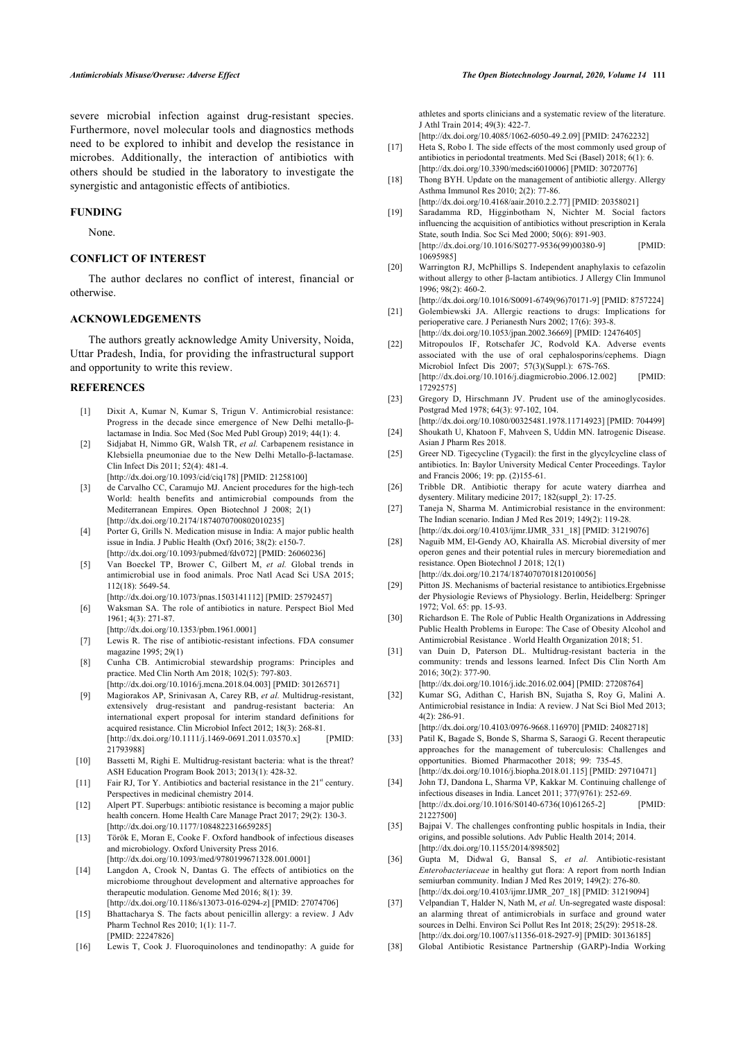<span id="page-4-16"></span>severe microbial infection against drug-resistant species. Furthermore, novel molecular tools and diagnostics methods need to be explored to inhibit and develop the resistance in microbes. Additionally, the interaction of antibiotics with others should be studied in the laboratory to investigate the synergistic and antagonistic effects of antibiotics.

#### <span id="page-4-18"></span><span id="page-4-17"></span>**FUNDING**

None.

#### <span id="page-4-19"></span>**CONFLICT OF INTEREST**

The author declares no conflict of interest, financial or otherwise.

## <span id="page-4-20"></span>**ACKNOWLEDGEMENTS**

<span id="page-4-21"></span>The authors greatly acknowledge Amity University, Noida, Uttar Pradesh, India, for providing the infrastructural support and opportunity to write this review.

#### <span id="page-4-22"></span><span id="page-4-0"></span>**REFERENCES**

- [1] Dixit A, Kumar N, Kumar S, Trigun V. Antimicrobial resistance: Progress in the decade since emergence of New Delhi metallo-βlactamase in India. Soc Med (Soc Med Publ Group) 2019; 44(1): 4.
- <span id="page-4-24"></span><span id="page-4-23"></span><span id="page-4-1"></span>[2] Sidjabat H, Nimmo GR, Walsh TR, *et al.* Carbapenem resistance in Klebsiella pneumoniae due to the New Delhi Metallo-β-lactamase. Clin Infect Dis 2011; 52(4): 481-4.
	- [\[http://dx.doi.org/10.1093/cid/ciq178\]](http://dx.doi.org/10.1093/cid/ciq178) [PMID: [21258100](http://www.ncbi.nlm.nih.gov/pubmed/21258100)]
- <span id="page-4-26"></span><span id="page-4-25"></span><span id="page-4-2"></span>[3] de Carvalho CC, Caramujo MJ. Ancient procedures for the high-tech World: health benefits and antimicrobial compounds from the Mediterranean Empires. Open Biotechnol J 2008; 2(1) [\[http://dx.doi.org/10.2174/1874070700802010235\]](http://dx.doi.org/10.2174/1874070700802010235)
- <span id="page-4-27"></span><span id="page-4-3"></span>[4] Porter G, Grills N. Medication misuse in India: A major public health issue in India. J Public Health (Oxf) 2016; 38(2): e150-7. [\[http://dx.doi.org/10.1093/pubmed/fdv072\]](http://dx.doi.org/10.1093/pubmed/fdv072) [PMID: [26060236](http://www.ncbi.nlm.nih.gov/pubmed/26060236)]
- <span id="page-4-28"></span><span id="page-4-4"></span>[5] Van Boeckel TP, Brower C, Gilbert M, *et al.* Global trends in antimicrobial use in food animals. Proc Natl Acad Sci USA 2015; 112(18): 5649-54. [\[http://dx.doi.org/10.1073/pnas.1503141112\]](http://dx.doi.org/10.1073/pnas.1503141112) [PMID: [25792457](http://www.ncbi.nlm.nih.gov/pubmed/25792457)]
- <span id="page-4-29"></span><span id="page-4-5"></span>[6] Waksman SA. The role of antibiotics in nature. Perspect Biol Med  $1961: 4(3): 271-87$
- <span id="page-4-6"></span>[\[http://dx.doi.org/10.1353/pbm.1961.0001](http://dx.doi.org/10.1353/pbm.1961.0001)] [7] Lewis R. The rise of antibiotic-resistant infections. FDA consumer
- <span id="page-4-30"></span><span id="page-4-7"></span>magazine 1995; 29(1) [8] Cunha CB. Antimicrobial stewardship programs: Principles and
- practice. Med Clin North Am 2018; 102(5): 797-803. [\[http://dx.doi.org/10.1016/j.mcna.2018.04.003\]](http://dx.doi.org/10.1016/j.mcna.2018.04.003) [PMID: [30126571](http://www.ncbi.nlm.nih.gov/pubmed/30126571)]
- <span id="page-4-31"></span><span id="page-4-8"></span>[9] Magiorakos AP, Srinivasan A, Carey RB, *et al.* Multidrug-resistant, extensively drug-resistant and pandrug-resistant bacteria: An international expert proposal for interim standard definitions for acquired resistance. Clin Microbiol Infect 2012; 18(3): 268-81.<br>
[http://dx.doi.org/10.1111/i.1469-0691.2011.03570.x] [PMID:  $[http://dx.doi.org/10.1111/j.1469-0691.2011.03570.x]$ [21793988\]](http://www.ncbi.nlm.nih.gov/pubmed/21793988)
- <span id="page-4-32"></span><span id="page-4-9"></span>[10] Bassetti M, Righi E. Multidrug-resistant bacteria: what is the threat? ASH Education Program Book 2013; 2013(1): 428-32.
- <span id="page-4-33"></span><span id="page-4-10"></span>Fair RJ. Tor Y. Antibiotics and bacterial resistance in the  $21<sup>st</sup>$  century. Perspectives in medicinal chemistry 2014.
- <span id="page-4-11"></span>[12] Alpert PT. Superbugs: antibiotic resistance is becoming a major public health concern. Home Health Care Manage Pract 2017; 29(2): 130-3. [\[http://dx.doi.org/10.1177/1084822316659285](http://dx.doi.org/10.1177/1084822316659285)]
- <span id="page-4-34"></span><span id="page-4-12"></span>[13] Török E, Moran E, Cooke F. Oxford handbook of infectious diseases and microbiology. Oxford University Press 2016. [\[http://dx.doi.org/10.1093/med/9780199671328.001.0001\]](http://dx.doi.org/10.1093/med/9780199671328.001.0001)
- <span id="page-4-35"></span><span id="page-4-13"></span>[14] Langdon A, Crook N, Dantas G. The effects of antibiotics on the microbiome throughout development and alternative approaches for therapeutic modulation. Genome Med 2016; 8(1): 39. [\[http://dx.doi.org/10.1186/s13073-016-0294-z\]](http://dx.doi.org/10.1186/s13073-016-0294-z) [PMID: [27074706\]](http://www.ncbi.nlm.nih.gov/pubmed/27074706)
- <span id="page-4-36"></span><span id="page-4-14"></span>[15] Bhattacharya S. The facts about penicillin allergy: a review. J Adv Pharm Technol Res 2010; 1(1): 11-7. [PMID: [22247826](http://www.ncbi.nlm.nih.gov/pubmed/22247826)]
- <span id="page-4-37"></span><span id="page-4-15"></span>[16] Lewis T, Cook J. Fluoroquinolones and tendinopathy: A guide for

athletes and sports clinicians and a systematic review of the literature. J Athl Train 2014; 49(3): 422-7.

- [\[http://dx.doi.org/10.4085/1062-6050-49.2.09](http://dx.doi.org/10.4085/1062-6050-49.2.09)] [PMID: [24762232\]](http://www.ncbi.nlm.nih.gov/pubmed/24762232)
- [17] Heta S, Robo I. The side effects of the most commonly used group of antibiotics in periodontal treatments. Med Sci (Basel) 2018; 6(1): 6. [\[http://dx.doi.org/10.3390/medsci6010006\]](http://dx.doi.org/10.3390/medsci6010006) [PMID: [30720776](http://www.ncbi.nlm.nih.gov/pubmed/30720776)]
- [18] Thong BYH. Update on the management of antibiotic allergy. Allergy Asthma Immunol Res 2010; 2(2): 77-86. [\[http://dx.doi.org/10.4168/aair.2010.2.2.77\]](http://dx.doi.org/10.4168/aair.2010.2.2.77) [PMID: [20358021\]](http://www.ncbi.nlm.nih.gov/pubmed/20358021)
- [19] Saradamma RD, Higginbotham N, Nichter M. Social factors influencing the acquisition of antibiotics without prescription in Kerala State, south India. Soc Sci Med 2000; 50(6): 891-903. [\[http://dx.doi.org/10.1016/S0277-9536\(99\)00380-9](http://dx.doi.org/10.1016/S0277-9536(99)00380-9)] [PMID: [10695985\]](http://www.ncbi.nlm.nih.gov/pubmed/10695985)
- [20] Warrington RJ, McPhillips S. Independent anaphylaxis to cefazolin without allergy to other β-lactam antibiotics. J Allergy Clin Immunol 1996; 98(2): 460-2.
- [\[http://dx.doi.org/10.1016/S0091-6749\(96\)70171-9\]](http://dx.doi.org/10.1016/S0091-6749(96)70171-9) [PMID: [8757224\]](http://www.ncbi.nlm.nih.gov/pubmed/8757224) [21] Golembiewski JA. Allergic reactions to drugs: Implications for perioperative care. J Perianesth Nurs 2002; 17(6): 393-8.
- [\[http://dx.doi.org/10.1053/jpan.2002.36669\]](http://dx.doi.org/10.1053/jpan.2002.36669) [PMID: [12476405](http://www.ncbi.nlm.nih.gov/pubmed/12476405)] [22] Mitropoulos IF, Rotschafer JC, Rodvold KA. Adverse events
- associated with the use of oral cephalosporins/cephems. Diagn Microbiol Infect Dis 2007; 57(3)(Suppl.): 67S-76S. [\[http://dx.doi.org/10.1016/j.diagmicrobio.2006.12.002\]](http://dx.doi.org/10.1016/j.diagmicrobio.2006.12.002) [PMID: [17292575\]](http://www.ncbi.nlm.nih.gov/pubmed/17292575)
- [23] Gregory D, Hirschmann JV. Prudent use of the aminoglycosides. Postgrad Med 1978; 64(3): 97-102, 104.
- [\[http://dx.doi.org/10.1080/00325481.1978.11714923\]](http://dx.doi.org/10.1080/00325481.1978.11714923) [PMID: [704499\]](http://www.ncbi.nlm.nih.gov/pubmed/704499) [24] Shoukath U, Khatoon F, Mahveen S, Uddin MN. Iatrogenic Disease. Asian J Pharm Res 2018.
- [25] Greer ND. Tigecycline (Tygacil): the first in the glycylcycline class of antibiotics. In: Baylor University Medical Center Proceedings. Taylor and Francis 2006; 19: pp. (2)155-61.
- [26] Tribble DR. Antibiotic therapy for acute watery diarrhea and dysentery. Military medicine 2017; 182(suppl\_2): 17-25.
- [27] Taneja N, Sharma M. Antimicrobial resistance in the environment: The Indian scenario. Indian J Med Res 2019; 149(2): 119-28. [\[http://dx.doi.org/10.4103/ijmr.IJMR\\_331\\_18](http://dx.doi.org/10.4103/ijmr.IJMR_331_18)] [PMID: [31219076\]](http://www.ncbi.nlm.nih.gov/pubmed/31219076)
- [28] Naguib MM, El-Gendy AO, Khairalla AS. Microbial diversity of mer operon genes and their potential rules in mercury bioremediation and resistance. Open Biotechnol J 2018; 12(1) [\[http://dx.doi.org/10.2174/1874070701812010056\]](http://dx.doi.org/10.2174/1874070701812010056)
- [29] Pitton JS. Mechanisms of bacterial resistance to antibiotics. Ergebnisse der Physiologie Reviews of Physiology. Berlin, Heidelberg: Springer 1972; Vol. 65: pp. 15-93.
- [30] Richardson E. The Role of Public Health Organizations in Addressing Public Health Problems in Europe: The Case of Obesity Alcohol and Antimicrobial Resistance . World Health Organization 2018; 51.
- [31] van Duin D, Paterson DL. Multidrug-resistant bacteria in the community: trends and lessons learned. Infect Dis Clin North Am 2016; 30(2): 377-90.

[\[http://dx.doi.org/10.1016/j.idc.2016.02.004](http://dx.doi.org/10.1016/j.idc.2016.02.004)] [PMID: [27208764](http://www.ncbi.nlm.nih.gov/pubmed/27208764)]

[32] Kumar SG, Adithan C, Harish BN, Sujatha S, Roy G, Malini A. Antimicrobial resistance in India: A review. J Nat Sci Biol Med 2013; 4(2): 286-91.

[\[http://dx.doi.org/10.4103/0976-9668.116970\]](http://dx.doi.org/10.4103/0976-9668.116970) [PMID: [24082718](http://www.ncbi.nlm.nih.gov/pubmed/24082718)]

- [33] Patil K, Bagade S, Bonde S, Sharma S, Saraogi G. Recent therapeutic approaches for the management of tuberculosis: Challenges and opportunities. Biomed Pharmacother 2018; 99: 735-45. [\[http://dx.doi.org/10.1016/j.biopha.2018.01.115\]](http://dx.doi.org/10.1016/j.biopha.2018.01.115) [PMID: [29710471\]](http://www.ncbi.nlm.nih.gov/pubmed/29710471)
- [34] John TJ, Dandona L, Sharma VP, Kakkar M. Continuing challenge of infectious diseases in India. Lancet 2011; 377(9761): 252-69. [\[http://dx.doi.org/10.1016/S0140-6736\(10\)61265-2](http://dx.doi.org/10.1016/S0140-6736(10)61265-2)] [PMID: [21227500\]](http://www.ncbi.nlm.nih.gov/pubmed/21227500)
- [35] Bajpai V. The challenges confronting public hospitals in India, their origins, and possible solutions. Adv Public Health 2014; 2014. [\[http://dx.doi.org/10.1155/2014/898502](http://dx.doi.org/10.1155/2014/898502)]
- [36] Gupta M, Didwal G, Bansal S, *et al.* Antibiotic-resistant *Enterobacteriaceae* in healthy gut flora: A report from north Indian semiurban community. Indian J Med Res 2019; 149(2): 276-80. [\[http://dx.doi.org/10.4103/ijmr.IJMR\\_207\\_18](http://dx.doi.org/10.4103/ijmr.IJMR_207_18)] [PMID: [31219094\]](http://www.ncbi.nlm.nih.gov/pubmed/31219094)
- [37] Velpandian T, Halder N, Nath M, *et al.* Un-segregated waste disposal: an alarming threat of antimicrobials in surface and ground water sources in Delhi. Environ Sci Pollut Res Int 2018; 25(29): 29518-28. [\[http://dx.doi.org/10.1007/s11356-018-2927-9\]](http://dx.doi.org/10.1007/s11356-018-2927-9) [PMID: [30136185](http://www.ncbi.nlm.nih.gov/pubmed/30136185)]
- [38] Global Antibiotic Resistance Partnership (GARP)-India Working